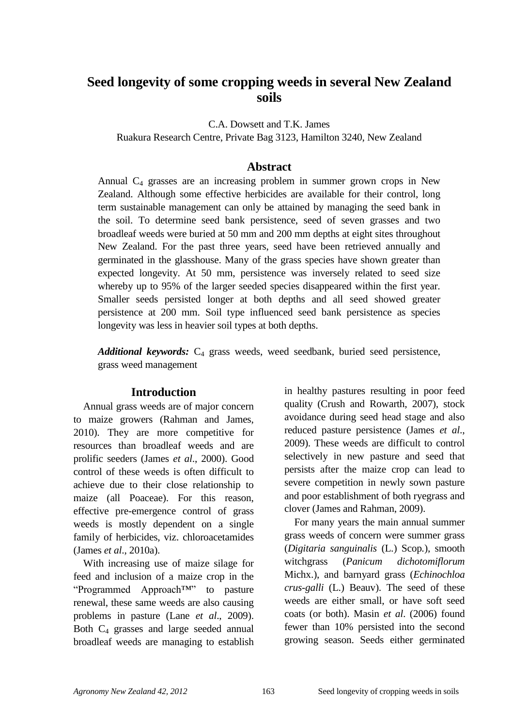# **Seed longevity of some cropping weeds in several New Zealand soils**

C.A. Dowsett and T.K. James

Ruakura Research Centre, Private Bag 3123, Hamilton 3240, New Zealand

### **Abstract**

Annual  $C_4$  grasses are an increasing problem in summer grown crops in New Zealand. Although some effective herbicides are available for their control, long term sustainable management can only be attained by managing the seed bank in the soil. To determine seed bank persistence, seed of seven grasses and two broadleaf weeds were buried at 50 mm and 200 mm depths at eight sites throughout New Zealand. For the past three years, seed have been retrieved annually and germinated in the glasshouse. Many of the grass species have shown greater than expected longevity. At 50 mm, persistence was inversely related to seed size whereby up to 95% of the larger seeded species disappeared within the first year. Smaller seeds persisted longer at both depths and all seed showed greater persistence at 200 mm. Soil type influenced seed bank persistence as species longevity was less in heavier soil types at both depths.

*Additional keywords:* C<sup>4</sup> grass weeds, weed seedbank, buried seed persistence, grass weed management

#### **Introduction**

Annual grass weeds are of major concern to maize growers (Rahman and James, 2010). They are more competitive for resources than broadleaf weeds and are prolific seeders (James *et al*., 2000). Good control of these weeds is often difficult to achieve due to their close relationship to maize (all Poaceae). For this reason, effective pre-emergence control of grass weeds is mostly dependent on a single family of herbicides, viz. chloroacetamides (James *et al*., 2010a).

With increasing use of maize silage for feed and inclusion of a maize crop in the "Programmed Approach™" to pasture renewal, these same weeds are also causing problems in pasture (Lane *et al*., 2009). Both  $C_4$  grasses and large seeded annual broadleaf weeds are managing to establish in healthy pastures resulting in poor feed quality (Crush and Rowarth, 2007), stock avoidance during seed head stage and also reduced pasture persistence (James *et al*., 2009). These weeds are difficult to control selectively in new pasture and seed that persists after the maize crop can lead to severe competition in newly sown pasture and poor establishment of both ryegrass and clover (James and Rahman, 2009).

For many years the main annual summer grass weeds of concern were summer grass (*Digitaria sanguinalis* (L.) Scop*.*), smooth witchgrass (*Panicum dichotomiflorum* Michx.), and barnyard grass (*Echinochloa crus-galli* (L.) Beauv). The seed of these weeds are either small, or have soft seed coats (or both). Masin *et al*. (2006) found fewer than 10% persisted into the second growing season. Seeds either germinated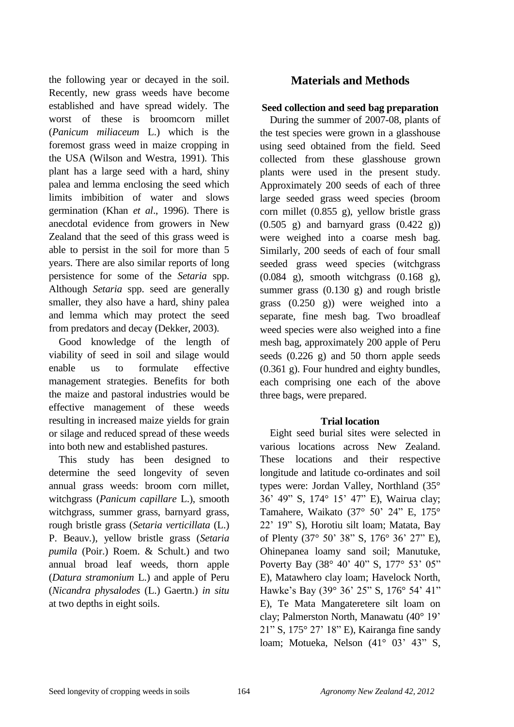the following year or decayed in the soil. Recently, new grass weeds have become established and have spread widely. The worst of these is broomcorn millet (*Panicum miliaceum* L.) which is the foremost grass weed in maize cropping in the USA (Wilson and Westra, 1991). This plant has a large seed with a hard, shiny palea and lemma enclosing the seed which limits imbibition of water and slows germination (Khan *et al*., 1996). There is anecdotal evidence from growers in New Zealand that the seed of this grass weed is able to persist in the soil for more than 5 years. There are also similar reports of long persistence for some of the *Setaria* spp. Although *Setaria* spp. seed are generally smaller, they also have a hard, shiny palea and lemma which may protect the seed from predators and decay (Dekker, 2003).

Good knowledge of the length of viability of seed in soil and silage would enable us to formulate effective management strategies. Benefits for both the maize and pastoral industries would be effective management of these weeds resulting in increased maize yields for grain or silage and reduced spread of these weeds into both new and established pastures.

This study has been designed to determine the seed longevity of seven annual grass weeds: broom corn millet, witchgrass (*Panicum capillare* L.), smooth witchgrass, summer grass, barnyard grass, rough bristle grass (*Setaria verticillata* (L.) P. Beauv*.*), yellow bristle grass (*Setaria pumila* (Poir.) Roem. & Schult.) and two annual broad leaf weeds, thorn apple (*Datura stramonium* L.) and apple of Peru (*Nicandra physalodes* (L.) Gaertn.) *in situ* at two depths in eight soils.

# **Materials and Methods**

### **Seed collection and seed bag preparation**

During the summer of 2007-08, plants of the test species were grown in a glasshouse using seed obtained from the field. Seed collected from these glasshouse grown plants were used in the present study. Approximately 200 seeds of each of three large seeded grass weed species (broom corn millet (0.855 g), yellow bristle grass  $(0.505 \text{ g})$  and barnyard grass  $(0.422 \text{ g})$ were weighed into a coarse mesh bag. Similarly, 200 seeds of each of four small seeded grass weed species (witchgrass (0.084 g), smooth witchgrass (0.168 g), summer grass (0.130 g) and rough bristle grass (0.250 g)) were weighed into a separate, fine mesh bag. Two broadleaf weed species were also weighed into a fine mesh bag, approximately 200 apple of Peru seeds (0.226 g) and 50 thorn apple seeds (0.361 g). Four hundred and eighty bundles, each comprising one each of the above three bags, were prepared.

# **Trial location**

Eight seed burial sites were selected in various locations across New Zealand. These locations and their respective longitude and latitude co-ordinates and soil types were: Jordan Valley, Northland (35° 36' 49" S, 174° 15' 47" E), Wairua clay; Tamahere, Waikato (37 $\degree$  50' 24" E, 175 $\degree$ 22" 19" S), Horotiu silt loam; Matata, Bay of Plenty (37° 50" 38" S, 176° 36" 27" E), Ohinepanea loamy sand soil; Manutuke, Poverty Bay (38° 40' 40" S, 177° 53' 05" E), Matawhero clay loam; Havelock North, Hawke's Bay (39° 36' 25" S, 176° 54' 41" E), Te Mata Mangateretere silt loam on clay; Palmerston North, Manawatu (40° 19" 21" S, 175° 27" 18" E), Kairanga fine sandy loam: Motueka, Nelson (41° 03' 43" S,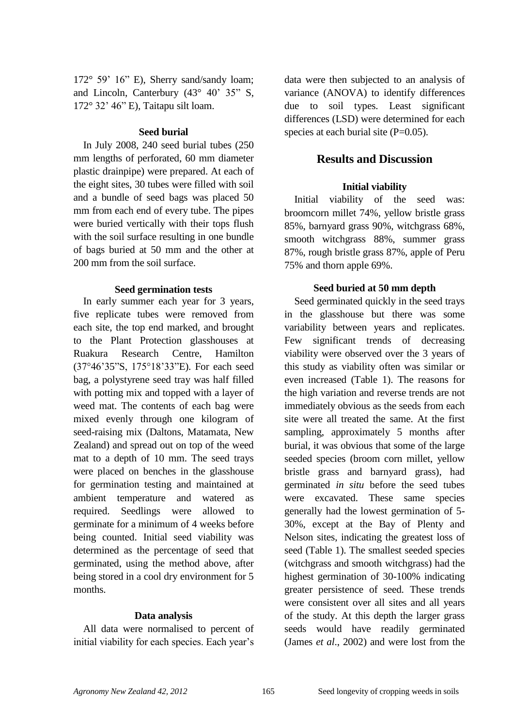$172^{\circ}$  59' 16" E), Sherry sand/sandy loam; and Lincoln, Canterbury  $(43^{\circ} 40^{\circ} 35^{\circ} S,$ 172° 32" 46" E), Taitapu silt loam.

#### **Seed burial**

In July 2008, 240 seed burial tubes (250 mm lengths of perforated, 60 mm diameter plastic drainpipe) were prepared. At each of the eight sites, 30 tubes were filled with soil and a bundle of seed bags was placed 50 mm from each end of every tube. The pipes were buried vertically with their tops flush with the soil surface resulting in one bundle of bags buried at 50 mm and the other at 200 mm from the soil surface.

#### **Seed germination tests**

In early summer each year for 3 years, five replicate tubes were removed from each site, the top end marked, and brought to the Plant Protection glasshouses at Ruakura Research Centre, Hamilton (37°46"35"S, 175°18"33"E). For each seed bag, a polystyrene seed tray was half filled with potting mix and topped with a layer of weed mat. The contents of each bag were mixed evenly through one kilogram of seed-raising mix (Daltons, Matamata, New Zealand) and spread out on top of the weed mat to a depth of 10 mm. The seed trays were placed on benches in the glasshouse for germination testing and maintained at ambient temperature and watered as required. Seedlings were allowed to germinate for a minimum of 4 weeks before being counted. Initial seed viability was determined as the percentage of seed that germinated, using the method above, after being stored in a cool dry environment for 5 months.

#### **Data analysis**

All data were normalised to percent of initial viability for each species. Each year's data were then subjected to an analysis of variance (ANOVA) to identify differences due to soil types. Least significant differences (LSD) were determined for each species at each burial site  $(P=0.05)$ .

# **Results and Discussion**

### **Initial viability**

Initial viability of the seed was: broomcorn millet 74%, yellow bristle grass 85%, barnyard grass 90%, witchgrass 68%, smooth witchgrass 88%, summer grass 87%, rough bristle grass 87%, apple of Peru 75% and thorn apple 69%.

### **Seed buried at 50 mm depth**

Seed germinated quickly in the seed trays in the glasshouse but there was some variability between years and replicates. Few significant trends of decreasing viability were observed over the 3 years of this study as viability often was similar or even increased (Table 1). The reasons for the high variation and reverse trends are not immediately obvious as the seeds from each site were all treated the same. At the first sampling, approximately 5 months after burial, it was obvious that some of the large seeded species (broom corn millet, yellow bristle grass and barnyard grass), had germinated *in situ* before the seed tubes were excavated. These same species generally had the lowest germination of 5- 30%, except at the Bay of Plenty and Nelson sites, indicating the greatest loss of seed (Table 1). The smallest seeded species (witchgrass and smooth witchgrass) had the highest germination of 30-100% indicating greater persistence of seed. These trends were consistent over all sites and all years of the study. At this depth the larger grass seeds would have readily germinated (James *et al*., 2002) and were lost from the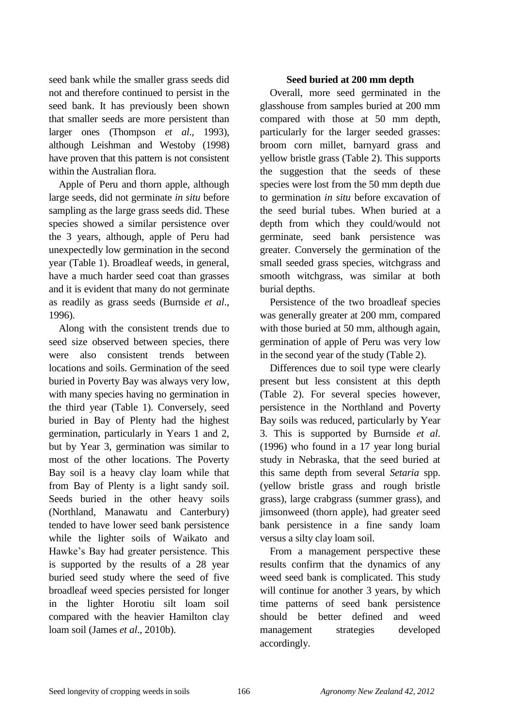seed bank while the smaller grass seeds did not and therefore continued to persist in the seed bank. It has previously been shown that smaller seeds are more persistent than larger ones (Thompson *et al*., 1993), although Leishman and Westoby (1998) have proven that this pattern is not consistent within the Australian flora.

Apple of Peru and thorn apple, although large seeds, did not germinate *in situ* before sampling as the large grass seeds did. These species showed a similar persistence over the 3 years, although, apple of Peru had unexpectedly low germination in the second year (Table 1). Broadleaf weeds, in general, have a much harder seed coat than grasses and it is evident that many do not germinate as readily as grass seeds (Burnside *et al*., 1996).

Along with the consistent trends due to seed size observed between species, there were also consistent trends between locations and soils. Germination of the seed buried in Poverty Bay was always very low, with many species having no germination in the third year (Table 1). Conversely, seed buried in Bay of Plenty had the highest germination, particularly in Years 1 and 2, but by Year 3, germination was similar to most of the other locations. The Poverty Bay soil is a heavy clay loam while that from Bay of Plenty is a light sandy soil. Seeds buried in the other heavy soils (Northland, Manawatu and Canterbury) tended to have lower seed bank persistence while the lighter soils of Waikato and Hawke's Bay had greater persistence. This is supported by the results of a 28 year buried seed study where the seed of five broadleaf weed species persisted for longer in the lighter Horotiu silt loam soil compared with the heavier Hamilton clay loam soil (James *et al*., 2010b).

#### **Seed buried at 200 mm depth**

Overall, more seed germinated in the glasshouse from samples buried at 200 mm compared with those at 50 mm depth, particularly for the larger seeded grasses: broom corn millet, barnyard grass and yellow bristle grass (Table 2). This supports the suggestion that the seeds of these species were lost from the 50 mm depth due to germination *in situ* before excavation of the seed burial tubes. When buried at a depth from which they could/would not germinate, seed bank persistence was greater. Conversely the germination of the small seeded grass species, witchgrass and smooth witchgrass, was similar at both burial depths.

Persistence of the two broadleaf species was generally greater at 200 mm, compared with those buried at 50 mm, although again, germination of apple of Peru was very low in the second year of the study (Table 2).

Differences due to soil type were clearly present but less consistent at this depth (Table 2). For several species however, persistence in the Northland and Poverty Bay soils was reduced, particularly by Year 3. This is supported by Burnside *et al*. (1996) who found in a 17 year long burial study in Nebraska, that the seed buried at this same depth from several *Setaria* spp. (yellow bristle grass and rough bristle grass), large crabgrass (summer grass), and jimsonweed (thorn apple), had greater seed bank persistence in a fine sandy loam versus a silty clay loam soil.

From a management perspective these results confirm that the dynamics of any weed seed bank is complicated. This study will continue for another 3 years, by which time patterns of seed bank persistence should be better defined and weed management strategies developed accordingly.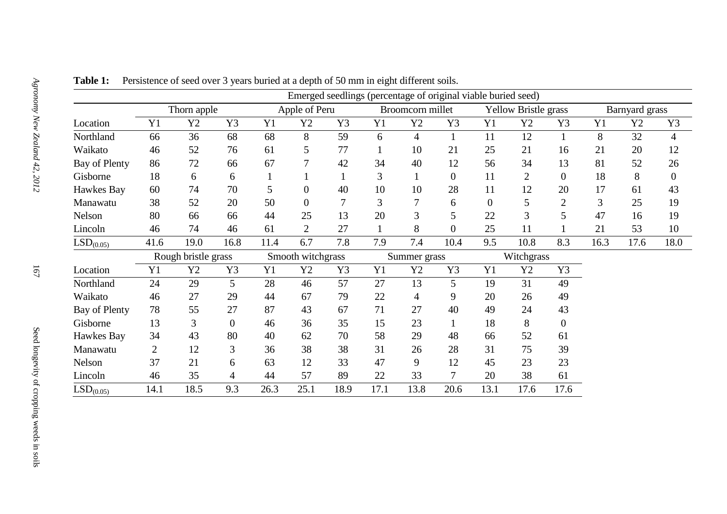|                       | Emerged seedlings (percentage of original viable buried seed) |                |                |                   |                  |      |                  |                |                  |                             |                |                |                |      |                  |
|-----------------------|---------------------------------------------------------------|----------------|----------------|-------------------|------------------|------|------------------|----------------|------------------|-----------------------------|----------------|----------------|----------------|------|------------------|
|                       | Thorn apple                                                   |                |                | Apple of Peru     |                  |      | Broomcorn millet |                |                  | <b>Yellow Bristle grass</b> |                |                | Barnyard grass |      |                  |
| Location              | Y1                                                            | Y2             | Y3             | Y1                | Y2               | Y3   | Y1               | Y2             | Y3               | Y1                          | Y2             | Y3             | Y1             | Y2   | Y3               |
| Northland             | 66                                                            | 36             | 68             | 68                | 8                | 59   | 6                | $\overline{4}$ |                  | 11                          | 12             |                | 8              | 32   | $\overline{4}$   |
| Waikato               | 46                                                            | 52             | 76             | 61                | 5                | 77   |                  | 10             | 21               | 25                          | 21             | 16             | 21             | 20   | 12               |
| Bay of Plenty         | 86                                                            | 72             | 66             | 67                | 7                | 42   | 34               | 40             | 12               | 56                          | 34             | 13             | 81             | 52   | 26               |
| Gisborne              | 18                                                            | 6              | 6              |                   | -1               |      | 3                |                | $\boldsymbol{0}$ | 11                          | $\overline{2}$ | $\overline{0}$ | 18             | 8    | $\boldsymbol{0}$ |
| Hawkes Bay            | 60                                                            | 74             | 70             | 5                 | $\boldsymbol{0}$ | 40   | 10               | 10             | 28               | 11                          | 12             | 20             | 17             | 61   | 43               |
| Manawatu              | 38                                                            | 52             | 20             | 50                | $\boldsymbol{0}$ |      | 3                | $\overline{7}$ | 6                | $\overline{0}$              | 5              | $\overline{2}$ | 3              | 25   | 19               |
| Nelson                | 80                                                            | 66             | 66             | 44                | 25               | 13   | 20               | 3              | 5                | 22                          | 3              | 5              | 47             | 16   | 19               |
| Lincoln               | 46                                                            | 74             | 46             | 61                | $\overline{2}$   | 27   |                  | 8              | $\overline{0}$   | 25                          | 11             |                | 21             | 53   | 10               |
| LSD <sub>(0.05)</sub> | 41.6                                                          | 19.0           | 16.8           | 11.4              | 6.7              | 7.8  | 7.9              | 7.4            | 10.4             | 9.5                         | 10.8           | 8.3            | 16.3           | 17.6 | 18.0             |
|                       | Rough bristle grass                                           |                |                | Smooth witchgrass |                  |      | Summer grass     |                |                  | Witchgrass                  |                |                |                |      |                  |
| Location              | Y1                                                            | Y2             | Y3             | Y1                | Y2               | Y3   | Y1               | Y2             | Y3               | Y1                          | Y2             | Y3             |                |      |                  |
| Northland             | 24                                                            | 29             | 5              | 28                | 46               | 57   | 27               | 13             | 5                | 19                          | 31             | 49             |                |      |                  |
| Waikato               | 46                                                            | 27             | 29             | 44                | 67               | 79   | 22               | 4              | 9                | 20                          | 26             | 49             |                |      |                  |
| Bay of Plenty         | 78                                                            | 55             | 27             | 87                | 43               | 67   | 71               | 27             | 40               | 49                          | 24             | 43             |                |      |                  |
| Gisborne              | 13                                                            | $\overline{3}$ | $\overline{0}$ | 46                | 36               | 35   | 15               | 23             |                  | 18                          | 8              | $\overline{0}$ |                |      |                  |
| Hawkes Bay            | 34                                                            | 43             | 80             | 40                | 62               | 70   | 58               | 29             | 48               | 66                          | 52             | 61             |                |      |                  |
| Manawatu              | 2                                                             | 12             | 3              | 36                | 38               | 38   | 31               | 26             | 28               | 31                          | 75             | 39             |                |      |                  |
| Nelson                | 37                                                            | 21             | 6              | 63                | 12               | 33   | 47               | 9              | 12               | 45                          | 23             | 23             |                |      |                  |
| Lincoln               | 46                                                            | 35             | $\overline{4}$ | 44                | 57               | 89   | 22               | 33             | 7                | 20                          | 38             | 61             |                |      |                  |
| LSD <sub>(0.05)</sub> | 14.1                                                          | 18.5           | 9.3            | 26.3              | 25.1             | 18.9 | 17.1             | 13.8           | 20.6             | 13.1                        | 17.6           | 17.6           |                |      |                  |

**Table 1:** Persistence of seed over 3 years buried at a depth of 50 mm in eight different soils.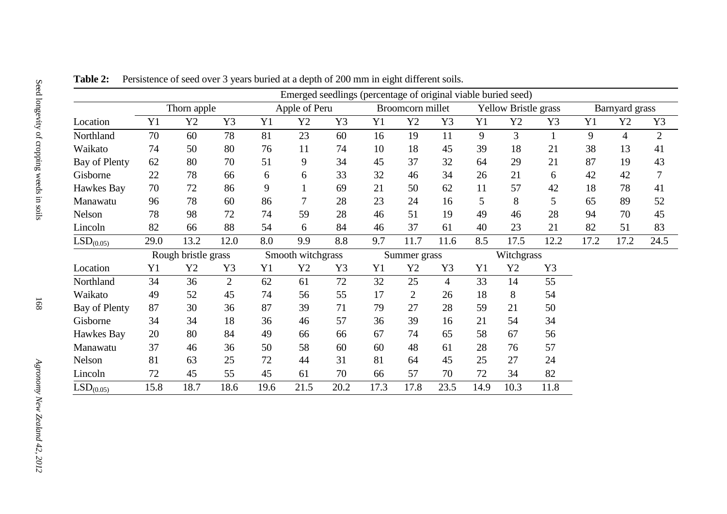|                       |                     |      |                |                   | Emerged seedlings (percentage of original viable buried seed) |      |                  |                |                |                             |      |      |                |                |                |
|-----------------------|---------------------|------|----------------|-------------------|---------------------------------------------------------------|------|------------------|----------------|----------------|-----------------------------|------|------|----------------|----------------|----------------|
|                       | Thorn apple         |      |                | Apple of Peru     |                                                               |      | Broomcorn millet |                |                | <b>Yellow Bristle grass</b> |      |      | Barnyard grass |                |                |
| Location              | Y1                  | Y2   | Y3             | Y <sub>1</sub>    | Y2                                                            | Y3   | Y1               | Y2             | Y3             | Y1                          | Y2   | Y3   | Y1             | Y2             | Y3             |
| Northland             | 70                  | 60   | 78             | 81                | 23                                                            | 60   | 16               | 19             | 11             | 9                           | 3    |      | 9              | $\overline{4}$ | $\overline{2}$ |
| Waikato               | 74                  | 50   | 80             | 76                | 11                                                            | 74   | 10               | 18             | 45             | 39                          | 18   | 21   | 38             | 13             | 41             |
| Bay of Plenty         | 62                  | 80   | 70             | 51                | 9                                                             | 34   | 45               | 37             | 32             | 64                          | 29   | 21   | 87             | 19             | 43             |
| Gisborne              | 22                  | 78   | 66             | 6                 | 6                                                             | 33   | 32               | 46             | 34             | 26                          | 21   | 6    | 42             | 42             | 7              |
| Hawkes Bay            | 70                  | 72   | 86             | 9                 | $\mathbf{1}$                                                  | 69   | 21               | 50             | 62             | 11                          | 57   | 42   | 18             | 78             | 41             |
| Manawatu              | 96                  | 78   | 60             | 86                | $\overline{7}$                                                | 28   | 23               | 24             | 16             | 5                           | 8    | 5    | 65             | 89             | 52             |
| Nelson                | 78                  | 98   | 72             | 74                | 59                                                            | 28   | 46               | 51             | 19             | 49                          | 46   | 28   | 94             | 70             | 45             |
| Lincoln               | 82                  | 66   | 88             | 54                | 6                                                             | 84   | 46               | 37             | 61             | 40                          | 23   | 21   | 82             | 51             | 83             |
| LSD <sub>(0.05)</sub> | 29.0                | 13.2 | 12.0           | 8.0               | 9.9                                                           | 8.8  | 9.7              | 11.7           | 11.6           | 8.5                         | 17.5 | 12.2 | 17.2           | 17.2           | 24.5           |
|                       | Rough bristle grass |      |                | Smooth witchgrass |                                                               |      | Summer grass     |                |                | Witchgrass                  |      |      |                |                |                |
| Location              | Y <sub>1</sub>      | Y2   | Y3             | Y1                | Y2                                                            | Y3   | Y1               | Y2             | Y3             | Y1                          | Y2   | Y3   |                |                |                |
| Northland             | 34                  | 36   | $\overline{2}$ | 62                | 61                                                            | 72   | 32               | 25             | $\overline{4}$ | 33                          | 14   | 55   |                |                |                |
| Waikato               | 49                  | 52   | 45             | 74                | 56                                                            | 55   | 17               | $\overline{2}$ | 26             | 18                          | 8    | 54   |                |                |                |
| Bay of Plenty         | 87                  | 30   | 36             | 87                | 39                                                            | 71   | 79               | 27             | 28             | 59                          | 21   | 50   |                |                |                |
| Gisborne              | 34                  | 34   | 18             | 36                | 46                                                            | 57   | 36               | 39             | 16             | 21                          | 54   | 34   |                |                |                |
| Hawkes Bay            | 20                  | 80   | 84             | 49                | 66                                                            | 66   | 67               | 74             | 65             | 58                          | 67   | 56   |                |                |                |
| Manawatu              | 37                  | 46   | 36             | 50                | 58                                                            | 60   | 60               | 48             | 61             | 28                          | 76   | 57   |                |                |                |
| Nelson                | 81                  | 63   | 25             | 72                | 44                                                            | 31   | 81               | 64             | 45             | 25                          | 27   | 24   |                |                |                |
| Lincoln               | 72                  | 45   | 55             | 45                | 61                                                            | 70   | 66               | 57             | 70             | 72                          | 34   | 82   |                |                |                |
| LSD <sub>(0.05)</sub> | 15.8                | 18.7 | 18.6           | 19.6              | 21.5                                                          | 20.2 | 17.3             | 17.8           | 23.5           | 14.9                        | 10.3 | 11.8 |                |                |                |

**Table 2:** Persistence of seed over 3 years buried at a depth of 200 mm in eight different soils.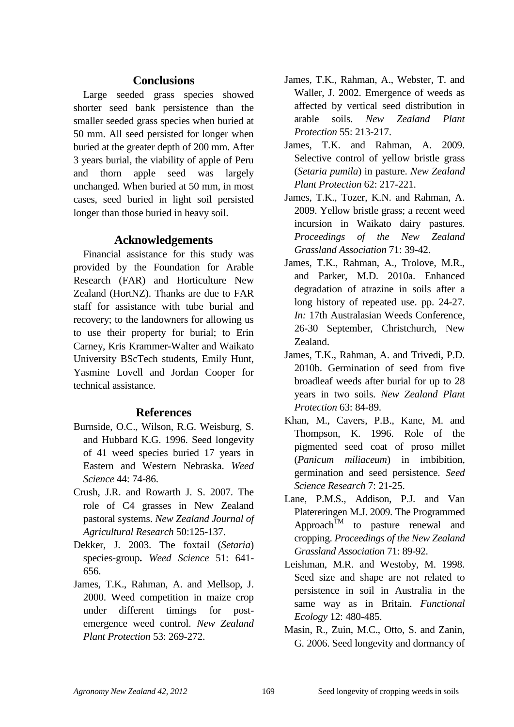# **Conclusions**

Large seeded grass species showed shorter seed bank persistence than the smaller seeded grass species when buried at 50 mm. All seed persisted for longer when buried at the greater depth of 200 mm. After 3 years burial, the viability of apple of Peru and thorn apple seed was largely unchanged. When buried at 50 mm, in most cases, seed buried in light soil persisted longer than those buried in heavy soil.

# **Acknowledgements**

Financial assistance for this study was provided by the Foundation for Arable Research (FAR) and Horticulture New Zealand (HortNZ). Thanks are due to FAR staff for assistance with tube burial and recovery; to the landowners for allowing us to use their property for burial; to Erin Carney, Kris Krammer-Walter and Waikato University BScTech students, Emily Hunt, Yasmine Lovell and Jordan Cooper for technical assistance.

# **References**

- Burnside, O.C., Wilson, R.G. Weisburg, S. and Hubbard K.G. 1996. Seed longevity of 41 weed species buried 17 years in Eastern and Western Nebraska. *Weed Science* 44: 74-86.
- Crush, J.R. and Rowarth J. S. 2007. The role of C4 grasses in New Zealand pastoral systems. *New Zealand Journal of Agricultural Research* 50:125-137.
- Dekker, J. 2003. The foxtail (*Setaria*) species-group**.** *Weed Science* 51: 641- 656.
- James, T.K., Rahman, A. and Mellsop, J. 2000. Weed competition in maize crop under different timings for postemergence weed control. *New Zealand Plant Protection* 53: 269-272.
- James, T.K., Rahman, A., Webster, T. and Waller, J. 2002. Emergence of weeds as affected by vertical seed distribution in arable soils. *New Zealand Plant Protection* 55: 213-217.
- James, T.K. and Rahman, A. 2009. Selective control of yellow bristle grass (*Setaria pumila*) in pasture. *New Zealand Plant Protection* 62: 217-221.
- James, T.K., Tozer, K.N. and Rahman, A. 2009. Yellow bristle grass; a recent weed incursion in Waikato dairy pastures. *Proceedings of the New Zealand Grassland Association* 71: 39-42.
- James, T.K., Rahman, A., Trolove, M.R., and Parker, M.D. 2010a. Enhanced degradation of atrazine in soils after a long history of repeated use. pp. 24-27. *In:* 17th Australasian Weeds Conference, 26-30 September, Christchurch, New Zealand.
- James, T.K., Rahman, A. and Trivedi, P.D. 2010b. Germination of seed from five broadleaf weeds after burial for up to 28 years in two soils. *New Zealand Plant Protection* 63: 84-89.
- Khan, M., Cavers, P.B., Kane, M. and Thompson, K. 1996. Role of the pigmented seed coat of proso millet (*Panicum miliaceum*) in imbibition, germination and seed persistence. *Seed Science Research* 7: 21-25.
- Lane, P.M.S., Addison, P.J. and Van Platereringen M.J. 2009. The Programmed Approach<sup>TM</sup> to pasture renewal and cropping. *Proceedings of the New Zealand Grassland Association* 71: 89-92.
- Leishman, M.R. and Westoby, M. 1998. Seed size and shape are not related to persistence in soil in Australia in the same way as in Britain. *Functional Ecology* 12: 480-485.
- Masin, R., Zuin, M.C., Otto, S. and Zanin, G. 2006. Seed longevity and dormancy of